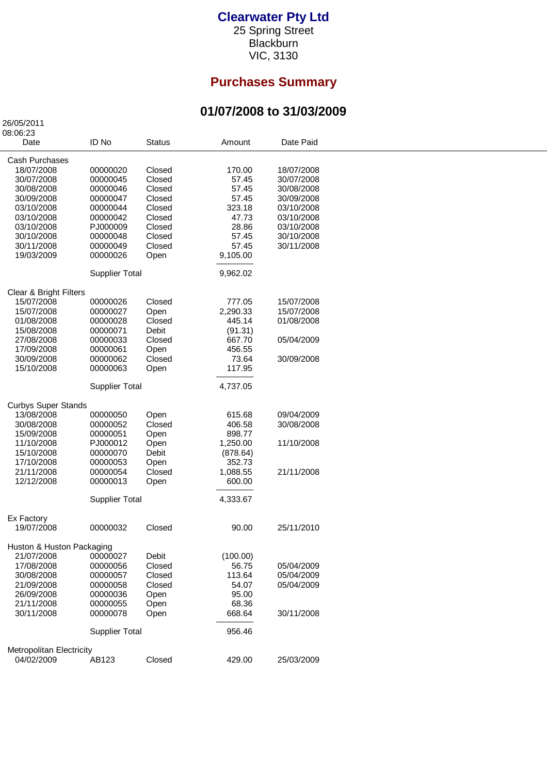## **Clearwater Pty Ltd**

25 Spring Street **Blackburn** VIC, 3130

## **Purchases Summary**

## **01/07/2008 to 31/03/2009**

26/05/2011

| 08:06:23                               |                       |               |                    |            |  |  |  |  |  |
|----------------------------------------|-----------------------|---------------|--------------------|------------|--|--|--|--|--|
| Date                                   | ID No                 | <b>Status</b> | Amount             | Date Paid  |  |  |  |  |  |
| Cash Purchases                         |                       |               |                    |            |  |  |  |  |  |
| 18/07/2008                             | 00000020              | Closed        | 170.00             | 18/07/2008 |  |  |  |  |  |
| 30/07/2008                             | 00000045              | Closed        | 57.45              | 30/07/2008 |  |  |  |  |  |
|                                        |                       |               |                    |            |  |  |  |  |  |
| 30/08/2008                             | 00000046              | Closed        | 57.45              | 30/08/2008 |  |  |  |  |  |
| 30/09/2008                             | 00000047              | Closed        | 57.45              | 30/09/2008 |  |  |  |  |  |
| 03/10/2008                             | 00000044              | Closed        | 323.18             | 03/10/2008 |  |  |  |  |  |
| 03/10/2008                             | 00000042              | Closed        | 47.73              | 03/10/2008 |  |  |  |  |  |
| 03/10/2008                             | PJ000009              | Closed        | 28.86              | 03/10/2008 |  |  |  |  |  |
| 30/10/2008                             | 00000048              | Closed        | 57.45              | 30/10/2008 |  |  |  |  |  |
| 30/11/2008                             | 00000049              | Closed        | 57.45              | 30/11/2008 |  |  |  |  |  |
| 19/03/2009                             | 00000026              | Open          | 9,105.00           |            |  |  |  |  |  |
|                                        | <b>Supplier Total</b> |               | 9,962.02           |            |  |  |  |  |  |
|                                        |                       |               |                    |            |  |  |  |  |  |
| Clear & Bright Filters<br>15/07/2008   | 00000026              | Closed        | 777.05             | 15/07/2008 |  |  |  |  |  |
| 15/07/2008                             | 00000027              | Open          | 2,290.33           | 15/07/2008 |  |  |  |  |  |
| 01/08/2008                             | 00000028              | Closed        | 445.14             | 01/08/2008 |  |  |  |  |  |
|                                        |                       |               |                    |            |  |  |  |  |  |
| 15/08/2008                             | 00000071              | Debit         | (91.31)            |            |  |  |  |  |  |
| 27/08/2008                             | 00000033              | Closed        | 667.70             | 05/04/2009 |  |  |  |  |  |
| 17/09/2008                             | 00000061              | Open          | 456.55             |            |  |  |  |  |  |
| 30/09/2008                             | 00000062              | Closed        | 73.64              | 30/09/2008 |  |  |  |  |  |
| 15/10/2008                             | 00000063              | Open          | 117.95             |            |  |  |  |  |  |
| <b>Supplier Total</b>                  |                       |               | 4,737.05           |            |  |  |  |  |  |
| <b>Curbys Super Stands</b>             |                       |               |                    |            |  |  |  |  |  |
| 13/08/2008                             | 00000050              | Open          | 615.68             | 09/04/2009 |  |  |  |  |  |
| 30/08/2008                             | 00000052              | Closed        | 406.58             | 30/08/2008 |  |  |  |  |  |
| 15/09/2008                             | 00000051              | Open          | 898.77             |            |  |  |  |  |  |
| 11/10/2008                             | PJ000012              | Open          | 1,250.00           | 11/10/2008 |  |  |  |  |  |
| 15/10/2008                             | 00000070              | Debit         | (878.64)           |            |  |  |  |  |  |
| 17/10/2008                             | 00000053              |               | 352.73             |            |  |  |  |  |  |
|                                        |                       | Open          |                    |            |  |  |  |  |  |
| 21/11/2008                             | 00000054              | Closed        | 1,088.55<br>600.00 | 21/11/2008 |  |  |  |  |  |
| 12/12/2008                             | 00000013              | Open          |                    |            |  |  |  |  |  |
|                                        | <b>Supplier Total</b> |               | 4,333.67           |            |  |  |  |  |  |
| Ex Factory                             |                       |               |                    |            |  |  |  |  |  |
| 19/07/2008                             | 00000032              | Closed        | 90.00              | 25/11/2010 |  |  |  |  |  |
| Huston & Huston Packaging              |                       |               |                    |            |  |  |  |  |  |
| 21/07/2008                             | 00000027              | Debit         | (100.00)           |            |  |  |  |  |  |
| 17/08/2008                             | 00000056              | Closed        | 56.75              | 05/04/2009 |  |  |  |  |  |
| 30/08/2008                             | 00000057              | Closed        | 113.64             | 05/04/2009 |  |  |  |  |  |
|                                        | 00000058              | Closed        |                    |            |  |  |  |  |  |
| 21/09/2008                             |                       |               | 54.07              | 05/04/2009 |  |  |  |  |  |
| 26/09/2008                             | 00000036              | Open          | 95.00              |            |  |  |  |  |  |
| 21/11/2008                             | 00000055              | Open          | 68.36              |            |  |  |  |  |  |
| 30/11/2008                             | 00000078              | Open          | 668.64             | 30/11/2008 |  |  |  |  |  |
|                                        | <b>Supplier Total</b> |               | 956.46             |            |  |  |  |  |  |
|                                        |                       |               |                    |            |  |  |  |  |  |
| Metropolitan Electricity<br>04/02/2009 | AB123                 | Closed        | 429.00             | 25/03/2009 |  |  |  |  |  |
|                                        |                       |               |                    |            |  |  |  |  |  |